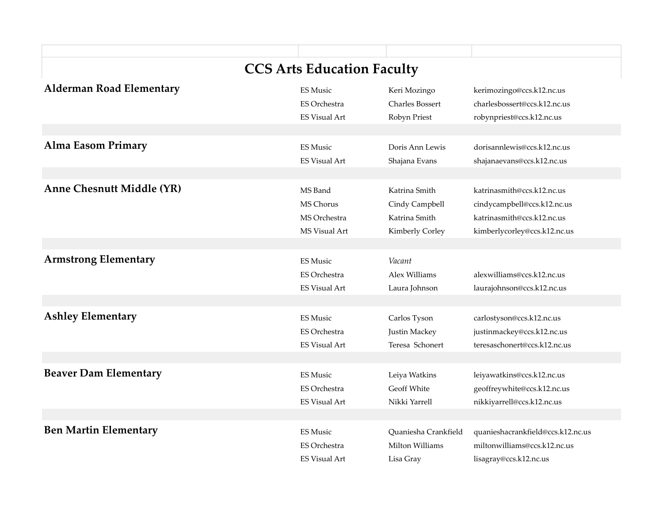| <b>CCS Arts Education Faculty</b> |                      |                        |                                   |  |  |
|-----------------------------------|----------------------|------------------------|-----------------------------------|--|--|
| <b>Alderman Road Elementary</b>   | <b>ES Music</b>      | Keri Mozingo           | kerimozingo@ccs.k12.nc.us         |  |  |
|                                   | <b>ES Orchestra</b>  | <b>Charles Bossert</b> | charlesbossert@ccs.k12.nc.us      |  |  |
|                                   | <b>ES Visual Art</b> | Robyn Priest           | robynpriest@ccs.k12.nc.us         |  |  |
|                                   |                      |                        |                                   |  |  |
| <b>Alma Easom Primary</b>         | <b>ES Music</b>      | Doris Ann Lewis        | dorisannlewis@ccs.k12.nc.us       |  |  |
|                                   | <b>ES Visual Art</b> | Shajana Evans          | shajanaevans@ccs.k12.nc.us        |  |  |
|                                   |                      |                        |                                   |  |  |
| <b>Anne Chesnutt Middle (YR)</b>  | MS Band              | Katrina Smith          | katrinasmith@ccs.k12.nc.us        |  |  |
|                                   | <b>MS Chorus</b>     | Cindy Campbell         | cindycampbell@ccs.k12.nc.us       |  |  |
|                                   | MS Orchestra         | Katrina Smith          | katrinasmith@ccs.k12.nc.us        |  |  |
|                                   | <b>MS Visual Art</b> | Kimberly Corley        | kimberlycorley@ccs.k12.nc.us      |  |  |
|                                   |                      |                        |                                   |  |  |
|                                   |                      |                        |                                   |  |  |
| <b>Armstrong Elementary</b>       | <b>ES Music</b>      | Vacant                 |                                   |  |  |
|                                   | <b>ES Orchestra</b>  | Alex Williams          | alexwilliams@ccs.k12.nc.us        |  |  |
|                                   | <b>ES Visual Art</b> | Laura Johnson          | laurajohnson@ccs.k12.nc.us        |  |  |
|                                   |                      |                        |                                   |  |  |
| <b>Ashley Elementary</b>          | <b>ES Music</b>      | Carlos Tyson           | carlostyson@ccs.k12.nc.us         |  |  |
|                                   | <b>ES Orchestra</b>  | Justin Mackey          | justinmackey@ccs.k12.nc.us        |  |  |
|                                   | <b>ES Visual Art</b> | Teresa Schonert        | teresaschonert@ccs.k12.nc.us      |  |  |
|                                   |                      |                        |                                   |  |  |
| <b>Beaver Dam Elementary</b>      | <b>ES Music</b>      | Leiya Watkins          | leiyawatkins@ccs.k12.nc.us        |  |  |
|                                   | <b>ES Orchestra</b>  | Geoff White            | geoffreywhite@ccs.k12.nc.us       |  |  |
|                                   | <b>ES Visual Art</b> | Nikki Yarrell          | nikkiyarrell@ccs.k12.nc.us        |  |  |
|                                   |                      |                        |                                   |  |  |
| <b>Ben Martin Elementary</b>      | <b>ES Music</b>      | Quaniesha Crankfield   | quanieshacrankfield@ccs.k12.nc.us |  |  |
|                                   | <b>ES Orchestra</b>  | Milton Williams        | miltonwilliams@ccs.k12.nc.us      |  |  |
|                                   | <b>ES Visual Art</b> | Lisa Gray              | lisagray@ccs.k12.nc.us            |  |  |
|                                   |                      |                        |                                   |  |  |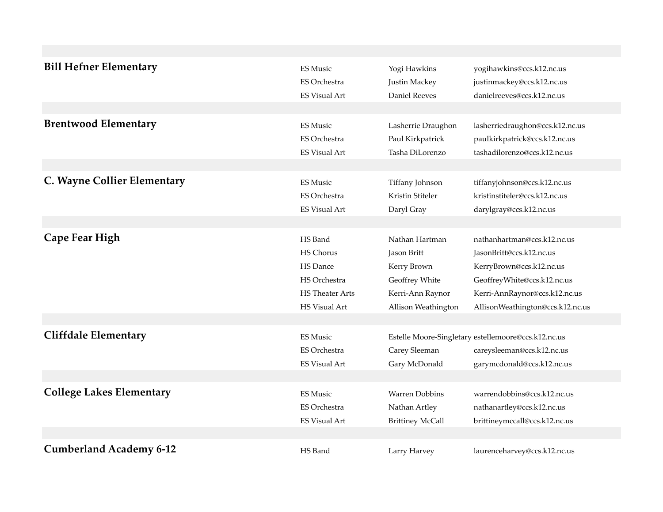| <b>ES Music</b>        | Yogi Hawkins            | yogihawkins@ccs.k12.nc.us                           |
|------------------------|-------------------------|-----------------------------------------------------|
| <b>ES Orchestra</b>    | Justin Mackey           | justinmackey@ccs.k12.nc.us                          |
| <b>ES Visual Art</b>   | <b>Daniel Reeves</b>    | danielreeves@ccs.k12.nc.us                          |
|                        |                         |                                                     |
| <b>ES Music</b>        | Lasherrie Draughon      | lasherriedraughon@ccs.k12.nc.us                     |
| <b>ES Orchestra</b>    | Paul Kirkpatrick        | paulkirkpatrick@ccs.k12.nc.us                       |
| <b>ES Visual Art</b>   | Tasha DiLorenzo         | tashadilorenzo@ccs.k12.nc.us                        |
|                        |                         |                                                     |
| ES Music               |                         | tiffanyjohnson@ccs.k12.nc.us                        |
| ES Orchestra           | Kristin Stiteler        | kristinstiteler@ccs.k12.nc.us                       |
| <b>ES Visual Art</b>   | Daryl Gray              | darylgray@ccs.k12.nc.us                             |
|                        |                         |                                                     |
| HS Band                | Nathan Hartman          | nathanhartman@ccs.k12.nc.us                         |
| <b>HS Chorus</b>       | Jason Britt             | JasonBritt@ccs.k12.nc.us                            |
| HS Dance               | Kerry Brown             | KerryBrown@ccs.k12.nc.us                            |
| HS Orchestra           | Geoffrey White          | GeoffreyWhite@ccs.k12.nc.us                         |
| <b>HS</b> Theater Arts | Kerri-Ann Raynor        | Kerri-AnnRaynor@ccs.k12.nc.us                       |
| <b>HS Visual Art</b>   | Allison Weathington     | AllisonWeathington@ccs.k12.nc.us                    |
|                        |                         |                                                     |
| <b>ES Music</b>        |                         | Estelle Moore-Singletary estellemoore@ccs.k12.nc.us |
| <b>ES Orchestra</b>    | Carey Sleeman           | careysleeman@ccs.k12.nc.us                          |
| <b>ES Visual Art</b>   | Gary McDonald           | garymcdonald@ccs.k12.nc.us                          |
|                        |                         |                                                     |
| <b>ES Music</b>        | <b>Warren Dobbins</b>   | warrendobbins@ccs.k12.nc.us                         |
| <b>ES Orchestra</b>    | Nathan Artley           | nathanartley@ccs.k12.nc.us                          |
| <b>ES Visual Art</b>   | <b>Brittiney McCall</b> | brittineymccall@ccs.k12.nc.us                       |
|                        |                         |                                                     |
| HS Band                | Larry Harvey            | laurenceharvey@ccs.k12.nc.us                        |
|                        |                         | Tiffany Johnson                                     |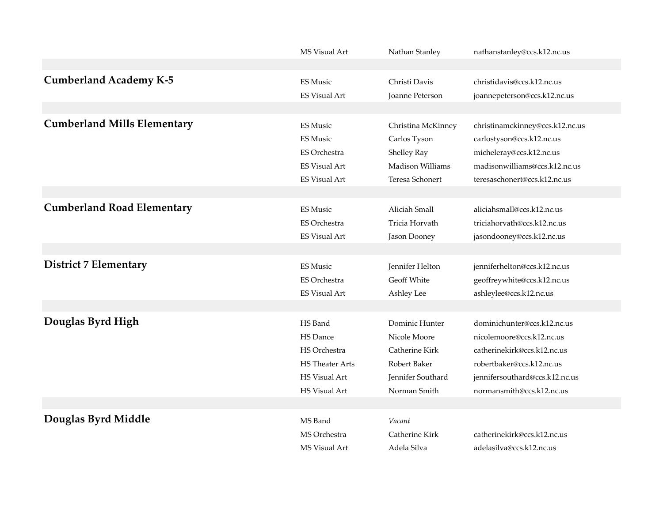|                                    | MS Visual Art          | Nathan Stanley          | nathanstanley@ccs.k12.nc.us     |
|------------------------------------|------------------------|-------------------------|---------------------------------|
|                                    |                        |                         |                                 |
| <b>Cumberland Academy K-5</b>      | <b>ES Music</b>        | Christi Davis           | christidavis@ccs.k12.nc.us      |
|                                    | <b>ES Visual Art</b>   | Joanne Peterson         | joannepeterson@ccs.k12.nc.us    |
|                                    |                        |                         |                                 |
| <b>Cumberland Mills Elementary</b> | <b>ES Music</b>        | Christina McKinney      | christinamckinney@ccs.k12.nc.us |
|                                    | <b>ES Music</b>        | Carlos Tyson            | carlostyson@ccs.k12.nc.us       |
|                                    | <b>ES Orchestra</b>    | Shelley Ray             | micheleray@ccs.k12.nc.us        |
|                                    | <b>ES Visual Art</b>   | <b>Madison Williams</b> | madisonwilliams@ccs.k12.nc.us   |
|                                    | <b>ES Visual Art</b>   | Teresa Schonert         | teresaschonert@ccs.k12.nc.us    |
|                                    |                        |                         |                                 |
| <b>Cumberland Road Elementary</b>  | <b>ES Music</b>        | Aliciah Small           | aliciahsmall@ccs.k12.nc.us      |
|                                    | <b>ES Orchestra</b>    | Tricia Horvath          | triciahorvath@ccs.k12.nc.us     |
|                                    | <b>ES Visual Art</b>   | Jason Dooney            | jasondooney@ccs.k12.nc.us       |
|                                    |                        |                         |                                 |
| <b>District 7 Elementary</b>       | <b>ES Music</b>        | Jennifer Helton         | jenniferhelton@ccs.k12.nc.us    |
|                                    | <b>ES Orchestra</b>    | Geoff White             | geoffreywhite@ccs.k12.nc.us     |
|                                    | <b>ES Visual Art</b>   | Ashley Lee              | ashleylee@ccs.k12.nc.us         |
|                                    |                        |                         |                                 |
| Douglas Byrd High                  | HS Band                | Dominic Hunter          | dominichunter@ccs.k12.nc.us     |
|                                    | <b>HS</b> Dance        | Nicole Moore            | nicolemoore@ccs.k12.nc.us       |
|                                    | HS Orchestra           | Catherine Kirk          | catherinekirk@ccs.k12.nc.us     |
|                                    | <b>HS</b> Theater Arts | Robert Baker            | robertbaker@ccs.k12.nc.us       |
|                                    | <b>HS Visual Art</b>   | Jennifer Southard       | jennifersouthard@ccs.k12.nc.us  |
|                                    | HS Visual Art          | Norman Smith            | normansmith@ccs.k12.nc.us       |
|                                    |                        |                         |                                 |
| Douglas Byrd Middle                | MS Band                | Vacant                  |                                 |
|                                    | MS Orchestra           | Catherine Kirk          | catherinekirk@ccs.k12.nc.us     |
|                                    | MS Visual Art          | Adela Silva             | adelasilva@ccs.k12.nc.us        |
|                                    |                        |                         |                                 |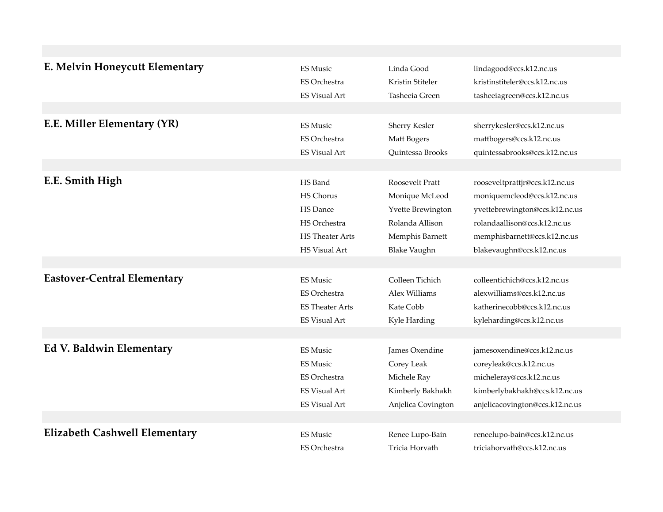| E. Melvin Honeycutt Elementary       | <b>ES Music</b>        | Linda Good          | lindagood@ccs.k12.nc.us         |
|--------------------------------------|------------------------|---------------------|---------------------------------|
|                                      | <b>ES Orchestra</b>    | Kristin Stiteler    | kristinstiteler@ccs.k12.nc.us   |
|                                      | <b>ES Visual Art</b>   | Tasheeia Green      | tasheeiagreen@ccs.k12.nc.us     |
|                                      |                        |                     |                                 |
| E.E. Miller Elementary (YR)          | <b>ES Music</b>        | Sherry Kesler       | sherrykesler@ccs.k12.nc.us      |
|                                      | <b>ES Orchestra</b>    | Matt Bogers         | mattbogers@ccs.k12.nc.us        |
|                                      | <b>ES Visual Art</b>   | Quintessa Brooks    | quintessabrooks@ccs.k12.nc.us   |
|                                      |                        |                     |                                 |
| E.E. Smith High                      | HS Band                | Roosevelt Pratt     |                                 |
|                                      |                        |                     | rooseveltprattjr@ccs.k12.nc.us  |
|                                      | <b>HS Chorus</b>       | Monique McLeod      | moniquemcleod@ccs.k12.nc.us     |
|                                      | HS Dance               | Yvette Brewington   | yvettebrewington@ccs.k12.nc.us  |
|                                      | HS Orchestra           | Rolanda Allison     | rolandaallison@ccs.k12.nc.us    |
|                                      | <b>HS</b> Theater Arts | Memphis Barnett     | memphisbarnett@ccs.k12.nc.us    |
|                                      | HS Visual Art          | <b>Blake Vaughn</b> | blakevaughn@ccs.k12.nc.us       |
|                                      |                        |                     |                                 |
| <b>Eastover-Central Elementary</b>   | <b>ES Music</b>        | Colleen Tichich     | colleentichich@ccs.k12.nc.us    |
|                                      | <b>ES Orchestra</b>    | Alex Williams       | alexwilliams@ccs.k12.nc.us      |
|                                      | <b>ES Theater Arts</b> | Kate Cobb           | katherinecobb@ccs.k12.nc.us     |
|                                      | <b>ES Visual Art</b>   | Kyle Harding        | kyleharding@ccs.k12.nc.us       |
|                                      |                        |                     |                                 |
| <b>Ed V. Baldwin Elementary</b>      | <b>ES Music</b>        | James Oxendine      | jamesoxendine@ccs.k12.nc.us     |
|                                      | <b>ES Music</b>        | Corey Leak          | coreyleak@ccs.k12.nc.us         |
|                                      | <b>ES Orchestra</b>    |                     |                                 |
|                                      |                        | Michele Ray         | micheleray@ccs.k12.nc.us        |
|                                      | <b>ES Visual Art</b>   | Kimberly Bakhakh    | kimberlybakhakh@ccs.k12.nc.us   |
|                                      | <b>ES Visual Art</b>   | Anjelica Covington  | anjelicacovington@ccs.k12.nc.us |
|                                      |                        |                     |                                 |
| <b>Elizabeth Cashwell Elementary</b> | <b>ES Music</b>        | Renee Lupo-Bain     | reneelupo-bain@ccs.k12.nc.us    |
|                                      | <b>ES Orchestra</b>    | Tricia Horvath      | triciahorvath@ccs.k12.nc.us     |
|                                      |                        |                     |                                 |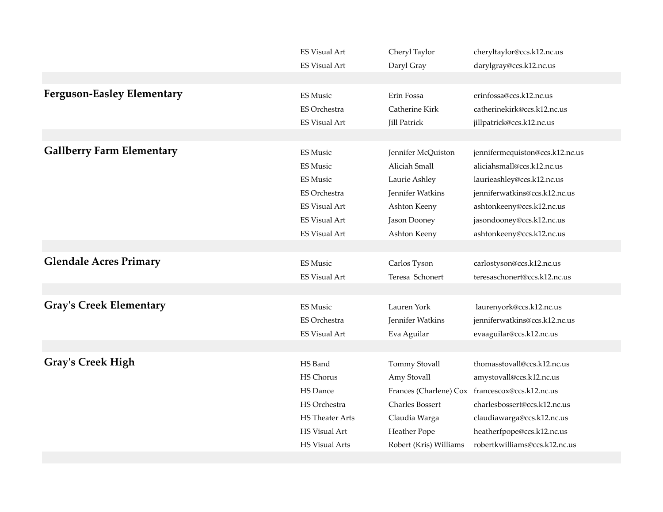|                                   | <b>ES Visual Art</b>   | Cheryl Taylor          | cheryltaylor@ccs.k12.nc.us                      |
|-----------------------------------|------------------------|------------------------|-------------------------------------------------|
|                                   | <b>ES Visual Art</b>   | Daryl Gray             | darylgray@ccs.k12.nc.us                         |
|                                   |                        |                        |                                                 |
| <b>Ferguson-Easley Elementary</b> | <b>ES Music</b>        | Erin Fossa             | erinfossa@ccs.k12.nc.us                         |
|                                   | <b>ES Orchestra</b>    | Catherine Kirk         | catherinekirk@ccs.k12.nc.us                     |
|                                   | <b>ES Visual Art</b>   | <b>Jill Patrick</b>    | jillpatrick@ccs.k12.nc.us                       |
|                                   |                        |                        |                                                 |
| <b>Gallberry Farm Elementary</b>  | <b>ES Music</b>        | Jennifer McQuiston     | jennifermcquiston@ccs.k12.nc.us                 |
|                                   | <b>ES Music</b>        | Aliciah Small          | aliciahsmall@ccs.k12.nc.us                      |
|                                   | <b>ES Music</b>        | Laurie Ashley          | laurieashley@ccs.k12.nc.us                      |
|                                   | ES Orchestra           | Jennifer Watkins       | jenniferwatkins@ccs.k12.nc.us                   |
|                                   | <b>ES Visual Art</b>   | Ashton Keeny           | ashtonkeeny@ccs.k12.nc.us                       |
|                                   | <b>ES Visual Art</b>   | Jason Dooney           | jasondooney@ccs.k12.nc.us                       |
|                                   | <b>ES Visual Art</b>   | Ashton Keeny           | ashtonkeeny@ccs.k12.nc.us                       |
|                                   |                        |                        |                                                 |
| <b>Glendale Acres Primary</b>     | <b>ES Music</b>        | Carlos Tyson           | carlostyson@ccs.k12.nc.us                       |
|                                   | <b>ES Visual Art</b>   | Teresa Schonert        | teresaschonert@ccs.k12.nc.us                    |
|                                   |                        |                        |                                                 |
| <b>Gray's Creek Elementary</b>    | <b>ES Music</b>        | Lauren York            | laurenyork@ccs.k12.nc.us                        |
|                                   | ES Orchestra           | Jennifer Watkins       | jenniferwatkins@ccs.k12.nc.us                   |
|                                   | <b>ES Visual Art</b>   | Eva Aguilar            | evaaguilar@ccs.k12.nc.us                        |
|                                   |                        |                        |                                                 |
| <b>Gray's Creek High</b>          | HS Band                | Tommy Stovall          | thomasstovall@ccs.k12.nc.us                     |
|                                   | HS Chorus              | Amy Stovall            | amystovall@ccs.k12.nc.us                        |
|                                   | <b>HS</b> Dance        |                        | Frances (Charlene) Cox francescox@ccs.k12.nc.us |
|                                   | HS Orchestra           | <b>Charles Bossert</b> | charlesbossert@ccs.k12.nc.us                    |
|                                   | <b>HS</b> Theater Arts | Claudia Warga          | claudiawarga@ccs.k12.nc.us                      |
|                                   | HS Visual Art          | Heather Pope           | heatherfpope@ccs.k12.nc.us                      |
|                                   | <b>HS Visual Arts</b>  | Robert (Kris) Williams | robertkwilliams@ccs.k12.nc.us                   |
|                                   |                        |                        |                                                 |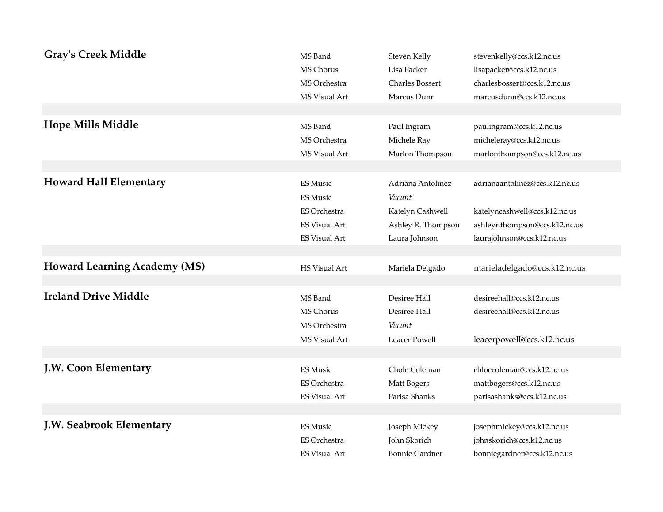| <b>Gray's Creek Middle</b><br><b>Hope Mills Middle</b> | MS Band<br>MS Chorus<br>MS Orchestra<br>MS Visual Art<br>MS Band<br>MS Orchestra<br>MS Visual Art  | Steven Kelly<br>Lisa Packer<br>Charles Bossert<br>Marcus Dunn<br>Paul Ingram<br>Michele Ray<br>Marlon Thompson | stevenkelly@ccs.k12.nc.us<br>lisapacker@ccs.k12.nc.us<br>charlesbossert@ccs.k12.nc.us<br>marcusdunn@ccs.k12.nc.us<br>paulingram@ccs.k12.nc.us<br>micheleray@ccs.k12.nc.us<br>marlonthompson@ccs.k12.nc.us |
|--------------------------------------------------------|----------------------------------------------------------------------------------------------------|----------------------------------------------------------------------------------------------------------------|-----------------------------------------------------------------------------------------------------------------------------------------------------------------------------------------------------------|
| <b>Howard Hall Elementary</b>                          | <b>ES Music</b><br><b>ES Music</b><br>ES Orchestra<br><b>ES Visual Art</b><br><b>ES Visual Art</b> | Adriana Antolinez<br>Vacant<br>Katelyn Cashwell<br>Ashley R. Thompson<br>Laura Johnson                         | adrianaantolinez@ccs.k12.nc.us<br>katelyncashwell@ccs.k12.nc.us<br>ashleyr.thompson@ccs.k12.nc.us<br>laurajohnson@ccs.k12.nc.us                                                                           |
| <b>Howard Learning Academy (MS)</b>                    | HS Visual Art                                                                                      | Mariela Delgado                                                                                                | marieladelgado@ccs.k12.nc.us                                                                                                                                                                              |
| <b>Ireland Drive Middle</b>                            | MS Band<br>MS Chorus<br>MS Orchestra<br>MS Visual Art                                              | Desiree Hall<br>Desiree Hall<br>Vacant<br>Leacer Powell                                                        | desireehall@ccs.k12.nc.us<br>desireehall@ccs.k12.nc.us<br>leacerpowell@ccs.k12.nc.us                                                                                                                      |
| J.W. Coon Elementary                                   | <b>ES Music</b><br><b>ES Orchestra</b><br><b>ES Visual Art</b>                                     | Chole Coleman<br>Matt Bogers<br>Parisa Shanks                                                                  | chloecoleman@ccs.k12.nc.us<br>mattbogers@ccs.k12.nc.us<br>parisashanks@ccs.k12.nc.us                                                                                                                      |
| J.W. Seabrook Elementary                               | <b>ES Music</b><br>ES Orchestra<br><b>ES Visual Art</b>                                            | Joseph Mickey<br>John Skorich<br><b>Bonnie Gardner</b>                                                         | josephmickey@ccs.k12.nc.us<br>johnskorich@ccs.k12.nc.us<br>bonniegardner@ccs.k12.nc.us                                                                                                                    |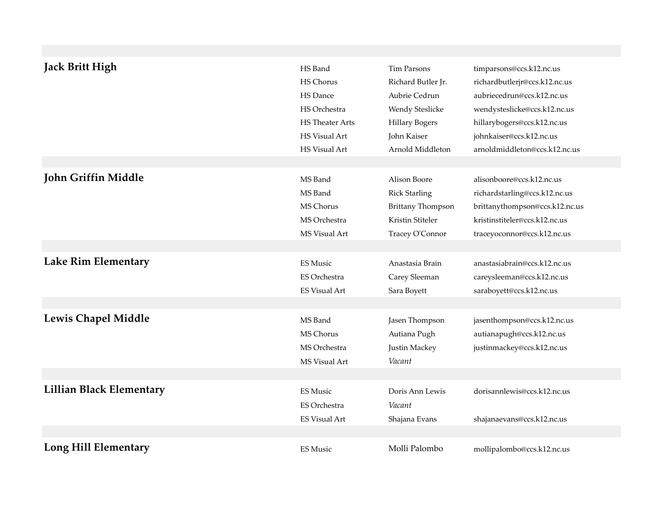| <b>Jack Britt High</b>          | HS Band                | <b>Tim Parsons</b>       | timparsons@ccs.k12.nc.us       |
|---------------------------------|------------------------|--------------------------|--------------------------------|
|                                 | HS Chorus              | Richard Butler Jr.       | richardbutlerjr@ccs.k12.nc.us  |
|                                 | HS Dance               | Aubrie Cedrun            | aubriecedrun@ccs.k12.nc.us     |
|                                 | HS Orchestra           | Wendy Steslicke          | wendysteslicke@ccs.k12.nc.us   |
|                                 | <b>HS</b> Theater Arts | <b>Hillary Bogers</b>    | hillarybogers@ccs.k12.nc.us    |
|                                 | HS Visual Art          | John Kaiser              | johnkaiser@ccs.k12.nc.us       |
|                                 | HS Visual Art          | Arnold Middleton         | arnoldmiddleton@ccs.k12.nc.us  |
|                                 |                        |                          |                                |
| John Griffin Middle             | MS Band                | Alison Boore             | alisonboore@ccs.k12.nc.us      |
|                                 | MS Band                | <b>Rick Starling</b>     | richardstarling@ccs.k12.nc.us  |
|                                 | MS Chorus              | <b>Brittany Thompson</b> | brittanythompson@ccs.k12.nc.us |
|                                 | MS Orchestra           | Kristin Stiteler         | kristinstiteler@ccs.k12.nc.us  |
|                                 | MS Visual Art          | Tracey O'Connor          | traceyoconnor@ccs.k12.nc.us    |
|                                 |                        |                          |                                |
| <b>Lake Rim Elementary</b>      | <b>ES Music</b>        | Anastasia Brain          | anastasiabrain@ccs.k12.nc.us   |
|                                 | <b>ES Orchestra</b>    | Carey Sleeman            | careysleeman@ccs.k12.nc.us     |
|                                 | <b>ES Visual Art</b>   | Sara Boyett              | saraboyett@ccs.k12.nc.us       |
|                                 |                        |                          |                                |
| <b>Lewis Chapel Middle</b>      | MS Band                | Jasen Thompson           | jasenthompson@ccs.k12.nc.us    |
|                                 | MS Chorus              | Autiana Pugh             | autianapugh@ccs.k12.nc.us      |
|                                 | MS Orchestra           | Justin Mackey            | justinmackey@ccs.k12.nc.us     |
|                                 | MS Visual Art          | Vacant                   |                                |
|                                 |                        |                          |                                |
| <b>Lillian Black Elementary</b> | <b>ES Music</b>        | Doris Ann Lewis          | dorisannlewis@ccs.k12.nc.us    |
|                                 |                        |                          |                                |
|                                 | <b>ES Orchestra</b>    | Vacant                   |                                |
|                                 | <b>ES Visual Art</b>   | Shajana Evans            | shajanaevans@ccs.k12.nc.us     |
|                                 |                        |                          |                                |
| Long Hill Elementary            | <b>ES Music</b>        | Molli Palombo            | mollipalombo@ccs.k12.nc.us     |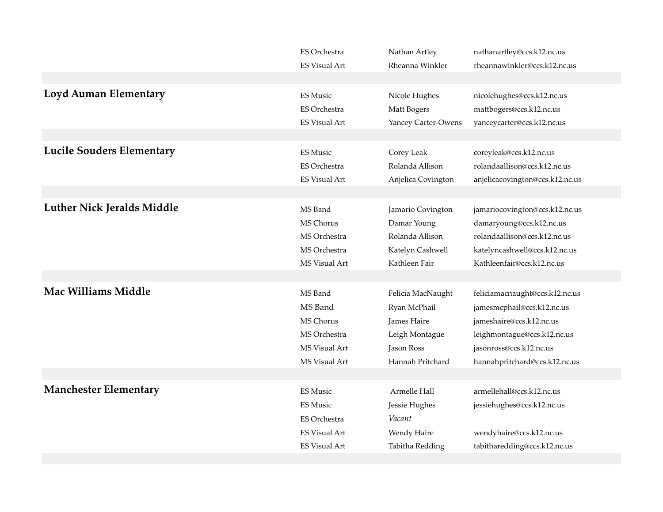|                                   | <b>ES Orchestra</b>  | Nathan Artley       | nathanartley@ccs.k12.nc.us      |
|-----------------------------------|----------------------|---------------------|---------------------------------|
|                                   | <b>ES Visual Art</b> | Rheanna Winkler     | rheannawinkler@ccs.k12.nc.us    |
|                                   |                      |                     |                                 |
| <b>Loyd Auman Elementary</b>      | <b>ES Music</b>      | Nicole Hughes       | nicolehughes@ccs.k12.nc.us      |
|                                   | <b>ES Orchestra</b>  | Matt Bogers         | mattbogers@ccs.k12.nc.us        |
|                                   | <b>ES Visual Art</b> | Yancey Carter-Owens | yanceycarter@ccs.k12.nc.us      |
|                                   |                      |                     |                                 |
| <b>Lucile Souders Elementary</b>  | <b>ES Music</b>      | Corey Leak          | coreyleak@ccs.k12.nc.us         |
|                                   | <b>ES Orchestra</b>  | Rolanda Allison     | rolandaallison@ccs.k12.nc.us    |
|                                   | <b>ES Visual Art</b> | Anjelica Covington  | anjelicacovington@ccs.k12.nc.us |
|                                   |                      |                     |                                 |
| <b>Luther Nick Jeralds Middle</b> | MS Band              | Jamario Covington   | jamariocovington@ccs.k12.nc.us  |
|                                   | <b>MS Chorus</b>     | Damar Young         | damaryoung@ccs.k12.nc.us        |
|                                   | MS Orchestra         | Rolanda Allison     | rolandaallison@ccs.k12.nc.us    |
|                                   | MS Orchestra         | Katelyn Cashwell    | katelyncashwell@ccs.k12.nc.us   |
|                                   | MS Visual Art        | Kathleen Fair       | Kathleenfair@ccs.k12.nc.us      |
|                                   |                      |                     |                                 |
| <b>Mac Williams Middle</b>        |                      |                     |                                 |
|                                   | MS Band              | Felicia MacNaught   | feliciamacnaught@ccs.k12.nc.us  |
|                                   | MS Band              | Ryan McPhail        | jamesmcphail@ccs.k12.nc.us      |
|                                   | MS Chorus            | James Haire         | jameshaire@ccs.k12.nc.us        |
|                                   | MS Orchestra         | Leigh Montague      | leighmontague@ccs.k12.nc.us     |
|                                   | MS Visual Art        | Jason Ross          | jasonross@ccs.k12.nc.us         |
|                                   | MS Visual Art        | Hannah Pritchard    | hannahpritchard@ccs.k12.nc.us   |
|                                   |                      |                     |                                 |
| <b>Manchester Elementary</b>      | <b>ES Music</b>      | Armelle Hall        | armellehall@ccs.k12.nc.us       |
|                                   | <b>ES Music</b>      | Jessie Hughes       | jessiehughes@ccs.k12.nc.us      |
|                                   | <b>ES Orchestra</b>  | Vacant              |                                 |
|                                   | <b>ES Visual Art</b> | Wendy Haire         | wendyhaire@ccs.k12.nc.us        |
|                                   | <b>ES Visual Art</b> | Tabitha Redding     | tabitharedding@ccs.k12.nc.us    |
|                                   |                      |                     |                                 |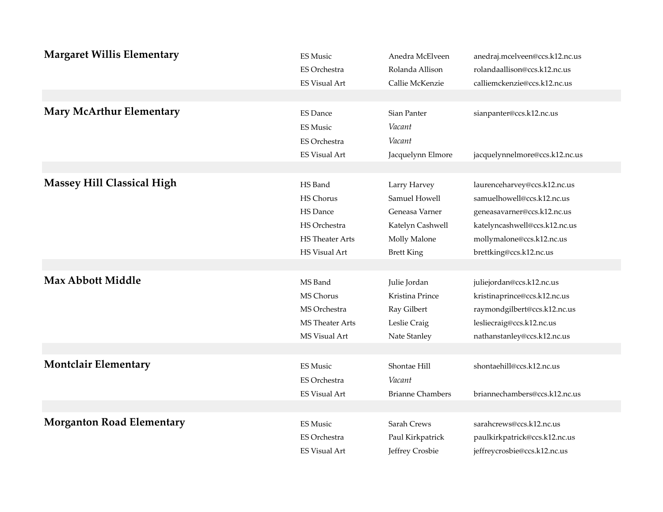| <b>Margaret Willis Elementary</b> | <b>ES Music</b>                                                                   | Anedra McElveen                                      | anedraj.mcelveen@ccs.k12.nc.us                             |
|-----------------------------------|-----------------------------------------------------------------------------------|------------------------------------------------------|------------------------------------------------------------|
|                                   | ES Orchestra                                                                      | Rolanda Allison                                      | rolandaallison@ccs.k12.nc.us                               |
|                                   | <b>ES Visual Art</b>                                                              | Callie McKenzie                                      | calliemckenzie@ccs.k12.nc.us                               |
| <b>Mary McArthur Elementary</b>   | <b>ES Dance</b><br><b>ES Music</b><br><b>ES Orchestra</b><br><b>ES Visual Art</b> | Sian Panter<br>Vacant<br>Vacant<br>Jacquelynn Elmore | sianpanter@ccs.k12.nc.us<br>jacquelynnelmore@ccs.k12.nc.us |
| <b>Massey Hill Classical High</b> | HS Band                                                                           | Larry Harvey                                         | laurenceharvey@ccs.k12.nc.us                               |
|                                   | <b>HS Chorus</b>                                                                  | Samuel Howell                                        | samuelhowell@ccs.k12.nc.us                                 |
|                                   | HS Dance                                                                          | Geneasa Varner                                       | geneasavarner@ccs.k12.nc.us                                |
|                                   | HS Orchestra                                                                      | Katelyn Cashwell                                     | katelyncashwell@ccs.k12.nc.us                              |
|                                   | <b>HS</b> Theater Arts                                                            | Molly Malone                                         | mollymalone@ccs.k12.nc.us                                  |
|                                   | <b>HS Visual Art</b>                                                              | <b>Brett King</b>                                    | brettking@ccs.k12.nc.us                                    |
| <b>Max Abbott Middle</b>          | MS Band                                                                           | Julie Jordan                                         | juliejordan@ccs.k12.nc.us                                  |
|                                   | MS Chorus                                                                         | Kristina Prince                                      | kristinaprince@ccs.k12.nc.us                               |
|                                   | MS Orchestra                                                                      | Ray Gilbert                                          | raymondgilbert@ccs.k12.nc.us                               |
|                                   | <b>MS</b> Theater Arts                                                            | Leslie Craig                                         | lesliecraig@ccs.k12.nc.us                                  |
|                                   | MS Visual Art                                                                     | Nate Stanley                                         | nathanstanley@ccs.k12.nc.us                                |
| <b>Montclair Elementary</b>       | <b>ES Music</b><br><b>ES Orchestra</b><br><b>ES Visual Art</b>                    | Shontae Hill<br>Vacant<br><b>Brianne Chambers</b>    | shontaehill@ccs.k12.nc.us<br>briannechambers@ccs.k12.nc.us |
| <b>Morganton Road Elementary</b>  | ES Music                                                                          | Sarah Crews                                          | sarahcrews@ccs.k12.nc.us                                   |
|                                   | <b>ES Orchestra</b>                                                               | Paul Kirkpatrick                                     | paulkirkpatrick@ccs.k12.nc.us                              |
|                                   | <b>ES Visual Art</b>                                                              | Jeffrey Crosbie                                      | jeffreycrosbie@ccs.k12.nc.us                               |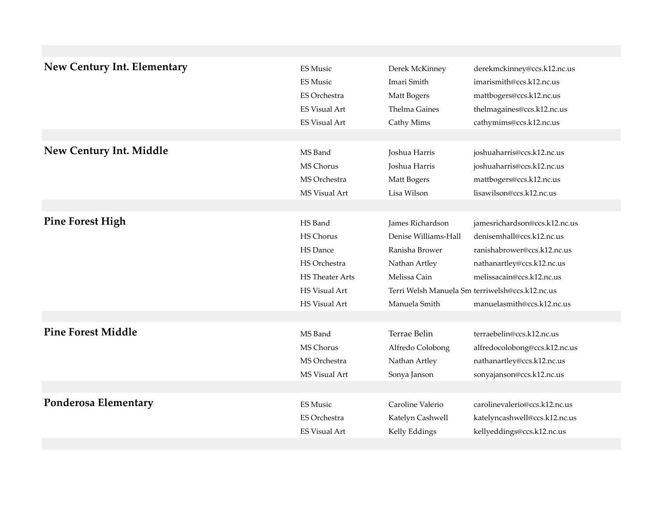| <b>New Century Int. Elementary</b> | <b>ES Music</b>        | Derek McKinney       | derekmckinney@ccs.k12.nc.us                     |
|------------------------------------|------------------------|----------------------|-------------------------------------------------|
|                                    | <b>ES Music</b>        | Imari Smith          | imarismith@ccs.k12.nc.us                        |
|                                    | ES Orchestra           | Matt Bogers          | mattbogers@ccs.k12.nc.us                        |
|                                    | <b>ES Visual Art</b>   | <b>Thelma Gaines</b> | thelmagaines@ccs.k12.nc.us                      |
|                                    | <b>ES Visual Art</b>   | Cathy Mims           | cathymims@ccs.k12.nc.us                         |
|                                    |                        |                      |                                                 |
| <b>New Century Int. Middle</b>     | MS Band                | Joshua Harris        | joshuaharris@ccs.k12.nc.us                      |
|                                    | MS Chorus              | Joshua Harris        | joshuaharris@ccs.k12.nc.us                      |
|                                    | MS Orchestra           | Matt Bogers          | mattbogers@ccs.k12.nc.us                        |
|                                    | MS Visual Art          | Lisa Wilson          | lisawilson@ccs.k12.nc.us                        |
|                                    |                        |                      |                                                 |
| <b>Pine Forest High</b>            | HS Band                | James Richardson     | jamesrichardson@ccs.k12.nc.us                   |
|                                    | HS Chorus              | Denise Williams-Hall | denisemhall@ccs.k12.nc.us                       |
|                                    | HS Dance               | Ranisha Brower       | ranishabrower@ccs.k12.nc.us                     |
|                                    | HS Orchestra           | Nathan Artley        | nathanartley@ccs.k12.nc.us                      |
|                                    | <b>HS</b> Theater Arts | Melissa Cain         | melissacain@ccs.k12.nc.us                       |
|                                    | <b>HS Visual Art</b>   |                      | Terri Welsh Manuela Sm terriwelsh@ccs.k12.nc.us |
|                                    | HS Visual Art          | Manuela Smith        | manuelasmith@ccs.k12.nc.us                      |
|                                    |                        |                      |                                                 |
| <b>Pine Forest Middle</b>          | MS Band                | Terrae Belin         | terraebelin@ccs.k12.nc.us                       |
|                                    | MS Chorus              | Alfredo Colobong     | alfredocolobong@ccs.k12.nc.us                   |
|                                    | MS Orchestra           | Nathan Artley        | nathanartley@ccs.k12.nc.us                      |
|                                    | MS Visual Art          | Sonya Janson         | sonyajanson@ccs.k12.nc.us                       |
|                                    |                        |                      |                                                 |
| Ponderosa Elementary               | <b>ES Music</b>        | Caroline Valerio     | carolinevalerio@ccs.k12.nc.us                   |
|                                    | <b>ES Orchestra</b>    | Katelyn Cashwell     | katelyncashwell@ccs.k12.nc.us                   |
|                                    | <b>ES Visual Art</b>   | Kelly Eddings        | kellyeddings@ccs.k12.nc.us                      |
|                                    |                        |                      |                                                 |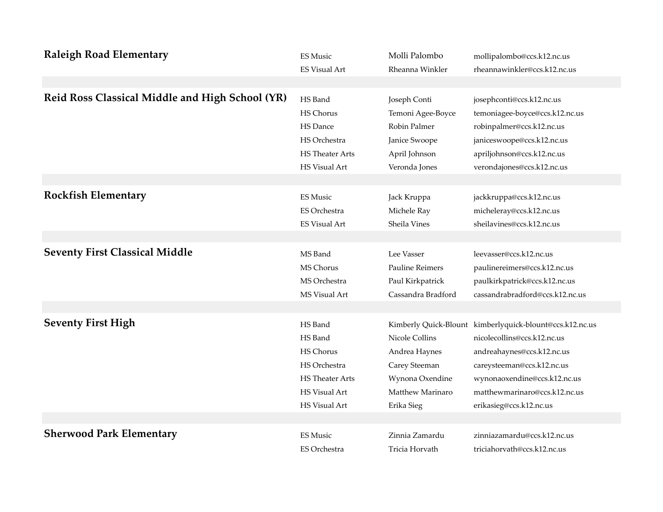| <b>Raleigh Road Elementary</b>                  | <b>ES Music</b>        | Molli Palombo          | mollipalombo@ccs.k12.nc.us                               |
|-------------------------------------------------|------------------------|------------------------|----------------------------------------------------------|
|                                                 | <b>ES Visual Art</b>   | Rheanna Winkler        | rheannawinkler@ccs.k12.nc.us                             |
|                                                 |                        |                        |                                                          |
| Reid Ross Classical Middle and High School (YR) | HS Band                | Joseph Conti           | josephconti@ccs.k12.nc.us                                |
|                                                 | <b>HS Chorus</b>       | Temoni Agee-Boyce      | temoniagee-boyce@ccs.k12.nc.us                           |
|                                                 | HS Dance               | Robin Palmer           | robinpalmer@ccs.k12.nc.us                                |
|                                                 | HS Orchestra           | Janice Swoope          | janiceswoope@ccs.k12.nc.us                               |
|                                                 | <b>HS</b> Theater Arts | April Johnson          | apriljohnson@ccs.k12.nc.us                               |
|                                                 | HS Visual Art          | Veronda Jones          | verondajones@ccs.k12.nc.us                               |
|                                                 |                        |                        |                                                          |
| <b>Rockfish Elementary</b>                      | <b>ES Music</b>        | Jack Kruppa            | jackkruppa@ccs.k12.nc.us                                 |
|                                                 | <b>ES Orchestra</b>    | Michele Ray            | micheleray@ccs.k12.nc.us                                 |
|                                                 | <b>ES Visual Art</b>   | Sheila Vines           | sheilavines@ccs.k12.nc.us                                |
|                                                 |                        |                        |                                                          |
| <b>Seventy First Classical Middle</b>           | MS Band                | Lee Vasser             | leevasser@ccs.k12.nc.us                                  |
|                                                 | <b>MS Chorus</b>       | <b>Pauline Reimers</b> | paulinereimers@ccs.k12.nc.us                             |
|                                                 | MS Orchestra           | Paul Kirkpatrick       | paulkirkpatrick@ccs.k12.nc.us                            |
|                                                 | MS Visual Art          | Cassandra Bradford     | cassandrabradford@ccs.k12.nc.us                          |
|                                                 |                        |                        |                                                          |
| <b>Seventy First High</b>                       | HS Band                |                        | Kimberly Quick-Blount kimberlyquick-blount@ccs.k12.nc.us |
|                                                 | HS Band                | Nicole Collins         | nicolecollins@ccs.k12.nc.us                              |
|                                                 | <b>HS Chorus</b>       | Andrea Haynes          | andreahaynes@ccs.k12.nc.us                               |
|                                                 | HS Orchestra           | Carey Steeman          | careysteeman@ccs.k12.nc.us                               |
|                                                 | <b>HS</b> Theater Arts | Wynona Oxendine        | wynonaoxendine@ccs.k12.nc.us                             |
|                                                 | HS Visual Art          | Matthew Marinaro       | matthewmarinaro@ccs.k12.nc.us                            |
|                                                 | HS Visual Art          | Erika Sieg             | erikasieg@ccs.k12.nc.us                                  |
|                                                 |                        |                        |                                                          |
| <b>Sherwood Park Elementary</b>                 | <b>ES Music</b>        | Zinnia Zamardu         | zinniazamardu@ccs.k12.nc.us                              |
|                                                 | <b>ES Orchestra</b>    | Tricia Horvath         | triciahorvath@ccs.k12.nc.us                              |
|                                                 |                        |                        |                                                          |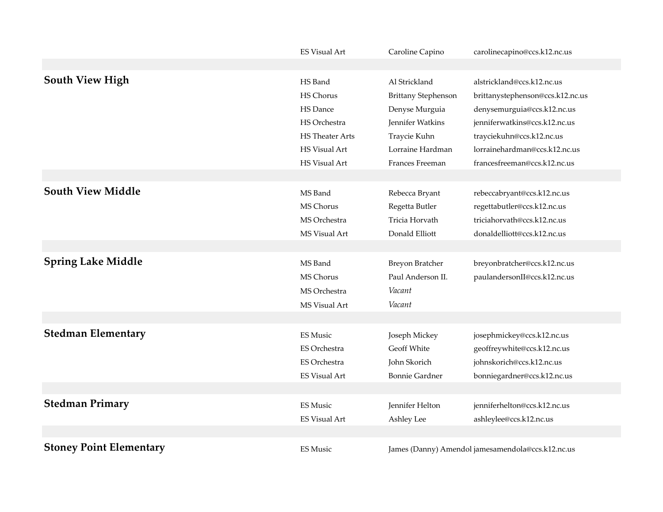|                                | <b>ES Visual Art</b>   | Caroline Capino            | carolinecapino@ccs.k12.nc.us                      |
|--------------------------------|------------------------|----------------------------|---------------------------------------------------|
|                                |                        |                            |                                                   |
| <b>South View High</b>         | HS Band                | Al Strickland              | alstrickland@ccs.k12.nc.us                        |
|                                | HS Chorus              | <b>Brittany Stephenson</b> | brittanystephenson@ccs.k12.nc.us                  |
|                                | HS Dance               | Denyse Murguia             | denysemurguia@ccs.k12.nc.us                       |
|                                | HS Orchestra           | Jennifer Watkins           | jenniferwatkins@ccs.k12.nc.us                     |
|                                | <b>HS</b> Theater Arts | Traycie Kuhn               | trayciekuhn@ccs.k12.nc.us                         |
|                                | <b>HS Visual Art</b>   | Lorraine Hardman           | lorrainehardman@ccs.k12.nc.us                     |
|                                | HS Visual Art          | Frances Freeman            | francesfreeman@ccs.k12.nc.us                      |
|                                |                        |                            |                                                   |
| <b>South View Middle</b>       | MS Band                | Rebecca Bryant             | rebeccabryant@ccs.k12.nc.us                       |
|                                | MS Chorus              | Regetta Butler             | regettabutler@ccs.k12.nc.us                       |
|                                | MS Orchestra           | Tricia Horvath             | triciahorvath@ccs.k12.nc.us                       |
|                                | MS Visual Art          | Donald Elliott             | donaldelliott@ccs.k12.nc.us                       |
|                                |                        |                            |                                                   |
| <b>Spring Lake Middle</b>      | MS Band                | Breyon Bratcher            | breyonbratcher@ccs.k12.nc.us                      |
|                                | MS Chorus              | Paul Anderson II.          | paulandersonII@ccs.k12.nc.us                      |
|                                | MS Orchestra           | Vacant                     |                                                   |
|                                | MS Visual Art          | Vacant                     |                                                   |
|                                |                        |                            |                                                   |
| <b>Stedman Elementary</b>      | <b>ES Music</b>        | Joseph Mickey              | josephmickey@ccs.k12.nc.us                        |
|                                | ES Orchestra           | Geoff White                | geoffreywhite@ccs.k12.nc.us                       |
|                                | <b>ES Orchestra</b>    | John Skorich               | johnskorich@ccs.k12.nc.us                         |
|                                | <b>ES Visual Art</b>   | <b>Bonnie Gardner</b>      | bonniegardner@ccs.k12.nc.us                       |
|                                |                        |                            |                                                   |
| <b>Stedman Primary</b>         | <b>ES Music</b>        | Jennifer Helton            | jenniferhelton@ccs.k12.nc.us                      |
|                                | <b>ES Visual Art</b>   | Ashley Lee                 | ashleylee@ccs.k12.nc.us                           |
|                                |                        |                            |                                                   |
| <b>Stoney Point Elementary</b> | <b>ES Music</b>        |                            | James (Danny) Amendol jamesamendola@ccs.k12.nc.us |
|                                |                        |                            |                                                   |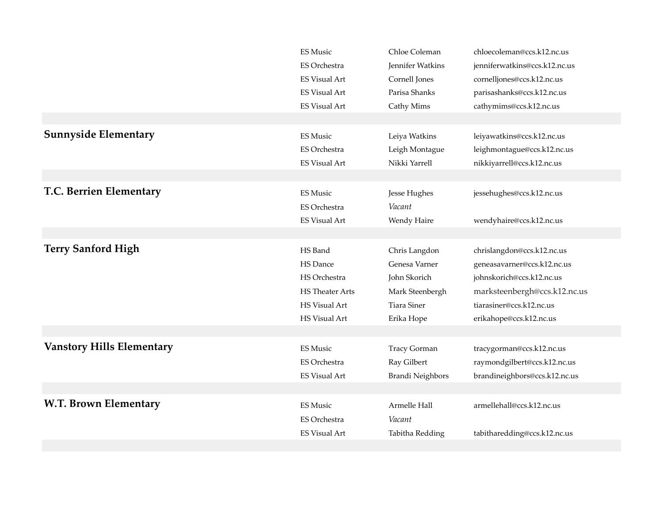|                                  | <b>ES Music</b>        | Chloe Coleman           | chloecoleman@ccs.k12.nc.us    |
|----------------------------------|------------------------|-------------------------|-------------------------------|
|                                  | ES Orchestra           | Jennifer Watkins        | jenniferwatkins@ccs.k12.nc.us |
|                                  | <b>ES Visual Art</b>   | Cornell Jones           | cornelljones@ccs.k12.nc.us    |
|                                  | <b>ES Visual Art</b>   | Parisa Shanks           | parisashanks@ccs.k12.nc.us    |
|                                  | <b>ES Visual Art</b>   | Cathy Mims              | cathymims@ccs.k12.nc.us       |
|                                  |                        |                         |                               |
| <b>Sunnyside Elementary</b>      | <b>ES Music</b>        | Leiya Watkins           | leiyawatkins@ccs.k12.nc.us    |
|                                  | ES Orchestra           | Leigh Montague          | leighmontague@ccs.k12.nc.us   |
|                                  | <b>ES Visual Art</b>   | Nikki Yarrell           | nikkiyarrell@ccs.k12.nc.us    |
|                                  |                        |                         |                               |
| T.C. Berrien Elementary          | <b>ES Music</b>        | Jesse Hughes            | jessehughes@ccs.k12.nc.us     |
|                                  | ES Orchestra           | Vacant                  |                               |
|                                  | <b>ES Visual Art</b>   | Wendy Haire             | wendyhaire@ccs.k12.nc.us      |
|                                  |                        |                         |                               |
| <b>Terry Sanford High</b>        | HS Band                | Chris Langdon           | chrislangdon@ccs.k12.nc.us    |
|                                  | <b>HS</b> Dance        | Genesa Varner           | geneasavarner@ccs.k12.nc.us   |
|                                  | HS Orchestra           | John Skorich            | johnskorich@ccs.k12.nc.us     |
|                                  | <b>HS</b> Theater Arts | Mark Steenbergh         | marksteenbergh@ccs.k12.nc.us  |
|                                  | <b>HS Visual Art</b>   | <b>Tiara Siner</b>      | tiarasiner@ccs.k12.nc.us      |
|                                  | <b>HS Visual Art</b>   | Erika Hope              | erikahope@ccs.k12.nc.us       |
|                                  |                        |                         |                               |
| <b>Vanstory Hills Elementary</b> | <b>ES Music</b>        | <b>Tracy Gorman</b>     | tracygorman@ccs.k12.nc.us     |
|                                  | ES Orchestra           | Ray Gilbert             | raymondgilbert@ccs.k12.nc.us  |
|                                  | <b>ES Visual Art</b>   | <b>Brandi Neighbors</b> | brandineighbors@ccs.k12.nc.us |
|                                  |                        |                         |                               |
| <b>W.T. Brown Elementary</b>     | ES Music               | Armelle Hall            | armellehall@ccs.k12.nc.us     |
|                                  | ES Orchestra           | Vacant                  |                               |
|                                  | <b>ES Visual Art</b>   | Tabitha Redding         | tabitharedding@ccs.k12.nc.us  |
|                                  |                        |                         |                               |